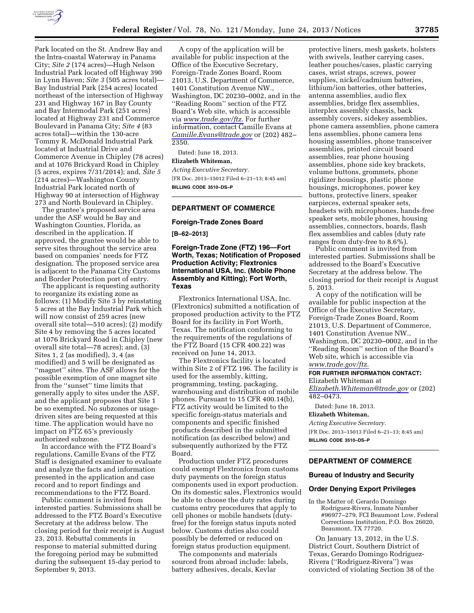

Park located on the St. Andrew Bay and the Intra-coastal Waterway in Panama City; *Site 2* (174 acres)—Hugh Nelson Industrial Park located off Highway 390 in Lynn Haven; *Site 3* (505 acres total)— Bay Industrial Park (254 acres) located northeast of the intersection of Highway 231 and Highway 167 in Bay County and Bay Intermodal Park (251 acres) located at Highway 231 and Commerce Boulevard in Panama City; *Site 4* (83 acres total)—within the 130-acre Tommy R. McDonald Industrial Park located at Industrial Drive and Commerce Avenue in Chipley (78 acres) and at 1076 Brickyard Road in Chipley (5 acres, expires 7/31/2014); and, *Site 5*  (214 acres)—Washington County Industrial Park located north of Highway 90 at intersection of Highway 273 and North Boulevard in Chipley.

The grantee's proposed service area under the ASF would be Bay and Washington Counties, Florida, as described in the application. If approved, the grantee would be able to serve sites throughout the service area based on companies' needs for FTZ designation. The proposed service area is adjacent to the Panama City Customs and Border Protection port of entry.

The applicant is requesting authority to reorganize its existing zone as follows: (1) Modify Site 3 by reinstating 5 acres at the Bay Industrial Park which will now consist of 259 acres (new overall site total—510 acres); (2) modify Site 4 by removing the 5 acres located at 1076 Brickyard Road in Chipley (new overall site total—78 acres); and, (3) Sites 1, 2 (as modified), 3, 4 (as modified) and 5 will be designated as ''magnet'' sites. The ASF allows for the possible exemption of one magnet site from the ''sunset'' time limits that generally apply to sites under the ASF, and the applicant proposes that Site 1 be so exempted. No subzones or usagedriven sites are being requested at this time. The application would have no impact on FTZ 65's previously authorized subzone.

In accordance with the FTZ Board's regulations, Camille Evans of the FTZ Staff is designated examiner to evaluate and analyze the facts and information presented in the application and case record and to report findings and recommendations to the FTZ Board.

Public comment is invited from interested parties. Submissions shall be addressed to the FTZ Board's Executive Secretary at the address below. The closing period for their receipt is August 23, 2013. Rebuttal comments in response to material submitted during the foregoing period may be submitted during the subsequent 15-day period to September 9, 2013.

A copy of the application will be available for public inspection at the Office of the Executive Secretary, Foreign-Trade Zones Board, Room 21013, U.S. Department of Commerce, 1401 Constitution Avenue NW., Washington, DC 20230–0002, and in the ''Reading Room'' section of the FTZ Board's Web site, which is accessible via *[www.trade.gov/ftz.](http://www.trade.gov/ftz)* For further information, contact Camille Evans at *[Camille.Evans@trade.gov](mailto:Camille.Evans@trade.gov)* or (202) 482– 2350.

Dated: June 18, 2013.

**Elizabeth Whiteman,** 

*Acting Executive Secretary.*  [FR Doc. 2013–15012 Filed 6–21–13; 8:45 am] **BILLING CODE 3510–DS–P** 

# **DEPARTMENT OF COMMERCE**

## **Foreign-Trade Zones Board**

**[B–62–2013]** 

**Foreign-Trade Zone (FTZ) 196—Fort Worth, Texas; Notification of Proposed Production Activity; Flextronics International USA, Inc. (Mobile Phone Assembly and Kitting); Fort Worth, Texas** 

Flextronics International USA, Inc. (Flextronics) submitted a notification of proposed production activity to the FTZ Board for its facility in Fort Worth, Texas. The notification conforming to the requirements of the regulations of the FTZ Board (15 CFR 400.22) was received on June 14, 2013.

The Flextronics facility is located within Site 2 of FTZ 196. The facility is used for the assembly, kitting, programming, testing, packaging, warehousing and distribution of mobile phones. Pursuant to 15 CFR 400.14(b), FTZ activity would be limited to the specific foreign-status materials and components and specific finished products described in the submitted notification (as described below) and subsequently authorized by the FTZ Board.

Production under FTZ procedures could exempt Flextronics from customs duty payments on the foreign status components used in export production. On its domestic sales, Flextronics would be able to choose the duty rates during customs entry procedures that apply to cell phones or mobile handsets (dutyfree) for the foreign status inputs noted below. Customs duties also could possibly be deferred or reduced on foreign status production equipment.

The components and materials sourced from abroad include: labels, battery adhesives, decals, Kevlar

protective liners, mesh gaskets, holsters with swivels, leather carrying cases, leather pouches/cases, plastic carrying cases, wrist straps, screws, power supplies, nickel/cadmium batteries, lithium/ion batteries, other batteries, antenna assemblies, audio flex assemblies, bridge flex assemblies, interplex assembly chassis, back assembly covers, sidekey assemblies, phone camera assemblies, phone camera lens assemblies, phone camera lens housing assemblies, phone transceiver assemblies, printed circuit board assemblies, rear phone housing assemblies, phone side key brackets, volume buttons, grommets, phone rigidizer housings, plastic phone housings, microphones, power key buttons, protective liners, speaker earpieces, external speaker sets, headsets with microphones, hands-free speaker sets, mobile phones, housing assemblies, connectors, boards, flash flex assemblies and cables (duty rate ranges from duty-free to 8.6%).

Public comment is invited from interested parties. Submissions shall be addressed to the Board's Executive Secretary at the address below. The closing period for their receipt is August 5, 2013.

A copy of the notification will be available for public inspection at the Office of the Executive Secretary, Foreign-Trade Zones Board, Room 21013, U.S. Department of Commerce, 1401 Constitution Avenue NW., Washington, DC 20230–0002, and in the ''Reading Room'' section of the Board's Web site, which is accessible via *[www.trade.gov/ftz.](http://www.trade.gov/ftz)* 

### **FOR FURTHER INFORMATION CONTACT:**

Elizabeth Whiteman at *[Elizabeth.Whiteman@trade.gov](mailto:Elizabeth.Whiteman@trade.gov)* or (202)

482–0473.

# Dated: June 18, 2013.

**Elizabeth Whiteman,**  *Acting Executive Secretary.*  [FR Doc. 2013–15013 Filed 6–21–13; 8:45 am] **BILLING CODE 3510–DS–P** 

## **DEPARTMENT OF COMMERCE**

## **Bureau of Industry and Security**

#### **Order Denying Export Privileges**

In the Matter of: Gerardo Domingo Rodriguez-Rivera, Inmate Number #96977–279, FCI Beaumont Low, Federal Corrections Institution, P.O. Box 26020, Beaumont, TX 77720.

On January 13, 2012, in the U.S. District Court, Southern District of Texas, Gerardo Domingo Rodriguez-Rivera (''Rodriguez-Rivera'') was convicted of violating Section 38 of the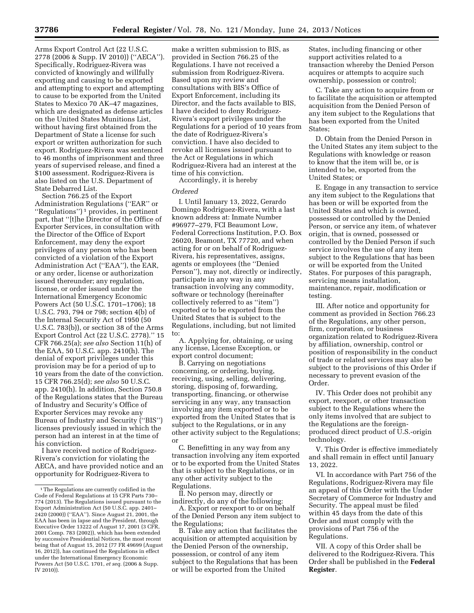Arms Export Control Act (22 U.S.C. 2778 (2006 & Supp. IV 2010)) (''AECA''). Specifically, Rodriguez-Rivera was convicted of knowingly and willfully exporting and causing to be exported and attempting to export and attempting to cause to be exported from the United States to Mexico 70 AK–47 magazines, which are designated as defense articles on the United States Munitions List, without having first obtained from the Department of State a license for such export or written authorization for such export. Rodriguez-Rivera was sentenced to 46 months of imprisonment and three years of supervised release, and fined a \$100 assessment. Rodriguez-Rivera is also listed on the U.S. Department of State Debarred List.

Section 766.25 of the Export Administration Regulations (''EAR'' or ''Regulations'') 1 provides, in pertinent part, that ''[t]he Director of the Office of Exporter Services, in consultation with the Director of the Office of Export Enforcement, may deny the export privileges of any person who has been convicted of a violation of the Export Administration Act (''EAA''), the EAR, or any order, license or authorization issued thereunder; any regulation, license, or order issued under the International Emergency Economic Powers Act (50 U.S.C. 1701–1706); 18 U.S.C. 793, 794 or 798; section 4(b) of the Internal Security Act of 1950 (50 U.S.C. 783(b)), or section 38 of the Arms Export Control Act (22 U.S.C. 2778).'' 15 CFR 766.25(a); *see also* Section 11(h) of the EAA, 50 U.S.C. app. 2410(h). The denial of export privileges under this provision may be for a period of up to 10 years from the date of the conviction. 15 CFR 766.25(d); *see also* 50 U.S.C. app. 2410(h). In addition, Section 750.8 of the Regulations states that the Bureau of Industry and Security's Office of Exporter Services may revoke any Bureau of Industry and Security (''BIS'') licenses previously issued in which the person had an interest in at the time of his conviction.

I have received notice of Rodriguez-Rivera's conviction for violating the AECA, and have provided notice and an opportunity for Rodriguez-Rivera to

make a written submission to BIS, as provided in Section 766.25 of the Regulations. I have not received a submission from Rodriguez-Rivera. Based upon my review and consultations with BIS's Office of Export Enforcement, including its Director, and the facts available to BIS, I have decided to deny Rodriguez-Rivera's export privileges under the Regulations for a period of 10 years from the date of Rodriguez-Rivera's conviction. I have also decided to revoke all licenses issued pursuant to the Act or Regulations in which Rodriguez-Rivera had an interest at the time of his conviction.

Accordingly, it is hereby

## *Ordered*

I. Until January 13, 2022, Gerardo Domingo Rodriguez-Rivera, with a last known address at: Inmate Number #96977–279, FCI Beaumont Low, Federal Corrections Institution, P.O. Box 26020, Beamont, TX 77720, and when acting for or on behalf of Rodriguez-Rivera, his representatives, assigns, agents or employees (the ''Denied Person''), may not, directly or indirectly, participate in any way in any transaction involving any commodity, software or technology (hereinafter collectively referred to as ''item'') exported or to be exported from the United States that is subject to the Regulations, including, but not limited to:

A. Applying for, obtaining, or using any license, License Exception, or export control document;

B. Carrying on negotiations concerning, or ordering, buying, receiving, using, selling, delivering, storing, disposing of, forwarding, transporting, financing, or otherwise servicing in any way, any transaction involving any item exported or to be exported from the United States that is subject to the Regulations, or in any other activity subject to the Regulations; or

C. Benefitting in any way from any transaction involving any item exported or to be exported from the United States that is subject to the Regulations, or in any other activity subject to the Regulations.

II. No person may, directly or indirectly, do any of the following:

A. Export or reexport to or on behalf of the Denied Person any item subject to the Regulations;

B. Take any action that facilitates the acquisition or attempted acquisition by the Denied Person of the ownership, possession, or control of any item subject to the Regulations that has been or will be exported from the United

States, including financing or other support activities related to a transaction whereby the Denied Person acquires or attempts to acquire such ownership, possession or control;

C. Take any action to acquire from or to facilitate the acquisition or attempted acquisition from the Denied Person of any item subject to the Regulations that has been exported from the United States;

D. Obtain from the Denied Person in the United States any item subject to the Regulations with knowledge or reason to know that the item will be, or is intended to be, exported from the United States; or

E. Engage in any transaction to service any item subject to the Regulations that has been or will be exported from the United States and which is owned, possessed or controlled by the Denied Person, or service any item, of whatever origin, that is owned, possessed or controlled by the Denied Person if such service involves the use of any item subject to the Regulations that has been or will be exported from the United States. For purposes of this paragraph, servicing means installation, maintenance, repair, modification or testing.

III. After notice and opportunity for comment as provided in Section 766.23 of the Regulations, any other person, firm, corporation, or business organization related to Rodriguez-Rivera by affiliation, ownership, control or position of responsibility in the conduct of trade or related services may also be subject to the provisions of this Order if necessary to prevent evasion of the Order.

IV. This Order does not prohibit any export, reexport, or other transaction subject to the Regulations where the only items involved that are subject to the Regulations are the foreignproduced direct product of U.S.-origin technology.

V. This Order is effective immediately and shall remain in effect until January 13, 2022.

VI. In accordance with Part 756 of the Regulations, Rodriguez-Rivera may file an appeal of this Order with the Under Secretary of Commerce for Industry and Security. The appeal must be filed within 45 days from the date of this Order and must comply with the provisions of Part 756 of the Regulations.

VII. A copy of this Order shall be delivered to the Rodriguez-Rivera. This Order shall be published in the **Federal Register**.

<sup>1</sup>The Regulations are currently codified in the Code of Federal Regulations at 15 CFR Parts 730– 774 (2013). The Regulations issued pursuant to the Export Administration Act (50 U.S.C. app. 2401– 2420 (2000)) (''EAA''). Since August 21, 2001, the EAA has been in lapse and the President, through Executive Order 13222 of August 17, 2001 (3 CFR, 2001 Comp. 783 (2002)), which has been extended by successive Presidential Notices, the most recent being that of August 15, 2012 (77 FR 49699 (August 16, 2012)), has continued the Regulations in effect under the International Emergency Economic Powers Act (50 U.S.C. 1701, *et seq.* (2006 & Supp. IV 2010)).